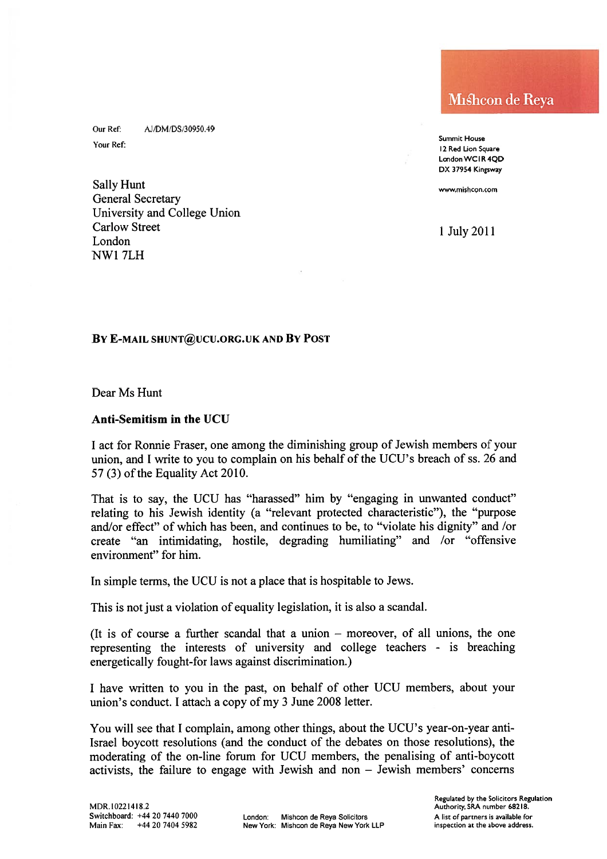Our Ref: AJ/DM/DS/30950.49

Sally Hunt www.mishcon.com General Secretary University and College Union Carlow Street 1 July 2011<br>London NW1 7LH

Mishcon de Reya

Summit House Your Ref:<br>12 Red Lion Square London WCIR 4QD DX 37954 Kingsway

### BY E-MAIL SHUNT@UCU.ORG.UK AND BY POST

Dear Ms Hunt

### Anti-Semitism in the UCU

<sup>I</sup> act for Ronnie Fraser, one among the diminishing group of Jewish members of your union, and I write to you to complain on his behalf of the UCU's breach of ss. 26 and  $57(3)$  of the Equality Act 2010.

That is to say, the UCU has "harassed" him by "engaging in unwanted conduct" relating to his Jewish identity (a "relevant protected characteristic"), the "purpose and/or effect" of which has been, and continues to be, to "violate his dignity" and /or create "an intimidating, hostile, degrading humiliating" and /or "offensive environment" for him.

In simple terms, the UCU is not <sup>a</sup> place that is hospitable to Jews.

This is not just <sup>a</sup> violation of equality legislation, it is also <sup>a</sup> scandal.

(It is of course <sup>a</sup> further scandal that <sup>a</sup> union — moreover, of all unions, the one representing the interests of university and college teachers - is breaching energetically fought-for laws against discrimination.)

<sup>I</sup> have written to you in the past, on behalf of other UCU members, about your union's conduct. I attach a copy of my 3 June 2008 letter.

You will see that <sup>I</sup> complain, among other things, about the UCU's year-on-year anti Israel boycott resolutions (and the conduct of the debates on those resolutions), the moderating of the on-line forum for UCU members, the penalising of anti-boycott activists, the failure to engage with Jewish and non — Jewish members' concerns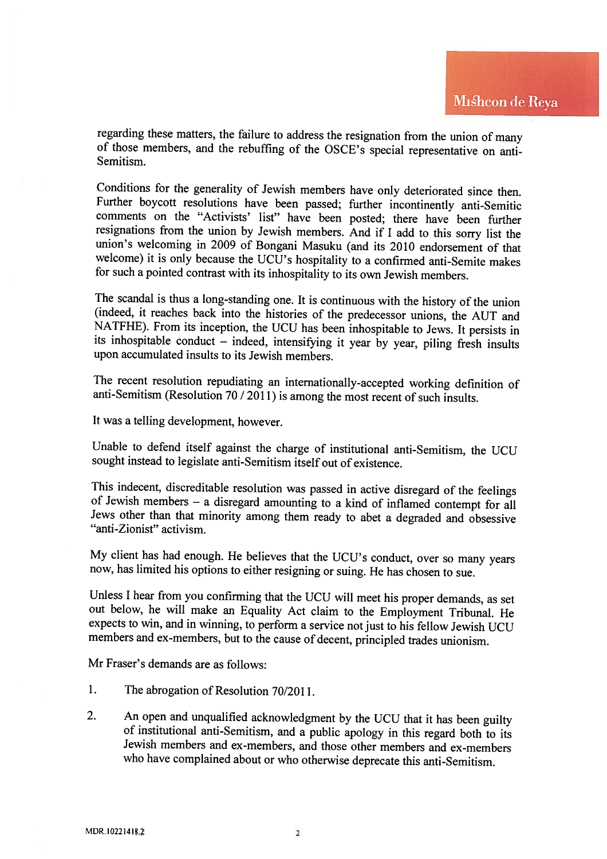regarding these matters, the failure to address the resignation from the union of many of those members, and the rebuffing of the OSCE's special representative on anti- Semitism.

Conditions for the generality of Jewish members have only deteriorated since then. Further boycott resolutions have been passed; further incontinently anti-Semitic comments on the "Activists' list" have been posted; there have been further resignations from the union by Jewish members. And if I add to this sorry list the union's welcoming in 2009 of Bongani Masuku (and its 2010 endorsement of that welcome) it is only because the UCU's hospitality to a confirmed anti-Semite makes for such <sup>a</sup> pointed contrast with its inhospitality to its own Jewish members.

The scandal is thus a long-standing one. It is continuous with the history of the union (indeed, it reaches back into the histories of the predecessor unions, the AUT and NATFHE). From its inception, the UCU has been inhos its inhospitable conduct – indeed, intensifying it year by year, piling fresh insults upon accumulated insults to its Jewish members.

The recent resolution repudiating an internationally-accepted working definition of anti-Semitism (Resolution 70 / 2011) is among the most recent of such insults.

It was <sup>a</sup> telling development, however.

Unable to defend itself against the charge of institutional anti-Semitism, the UCU sought instead to legislate anti-Semitism itself out of existence.

This indecent, discreditable resolution was passed in active disregard of the feelings of Jewish members  $-$  a disregard amounting to a kind of inflamed contempt for all Jews other than that minority among them ready to a "anti-Zionist" activism.

My client has had enough. He believes that the UCU's conduct, over so many years now, has limited his options to either resigning or suing. He has chosen to sue.

Unless <sup>I</sup> hear from you confirming that the UCU will meet his proper demands, as set out below, he will make an Equality Act claim to the Employment Tribunal. He expects to win, and in winning, to perform <sup>a</sup> service not just to his fellow Jewish UCU members and ex-members, but to the cause of decent, principled trades unionism.

Mr Fraser's demands are as follows:

- 1. The abrogation of Resolution 70/2011.
- 2. An open and unqualified acknowledgment by the UCU that it has been guilty of institutional anti-Semitism, and <sup>a</sup> public apology in this regard both to its Jewish members and ex-members, and those other members and ex-members who have complained about or who otherwise deprecate this anti-Semitism.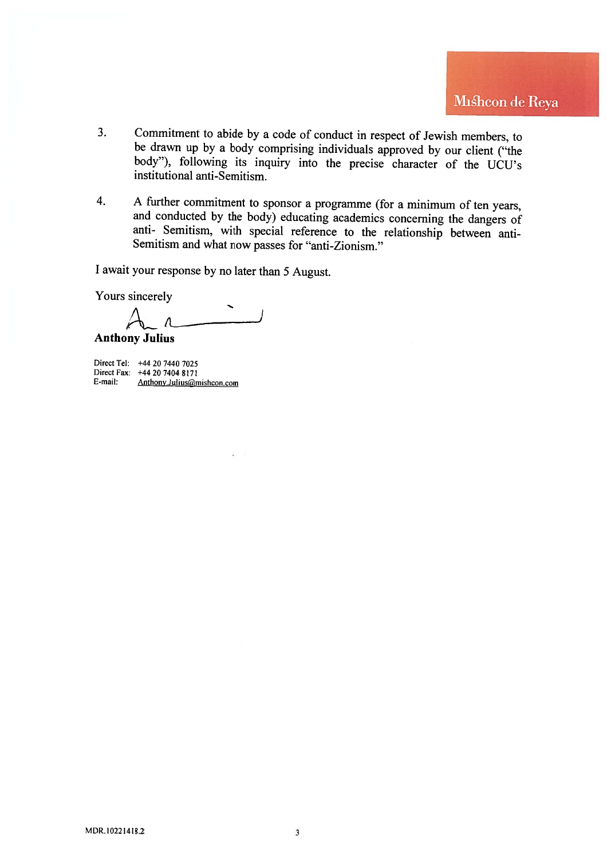- 3. Commitment to abide by a code of conduct in respect of Jewish members, to be drawn up by a body comprising individuals approved by our client ("the body"), following its inquiry into the precise character of the UCU's institutional anti-Semitism.
- 4. <sup>A</sup> further commitment to sponsor <sup>a</sup> programme (for <sup>a</sup> minimum of ten years, and conducted by the body) educating academics concerning the dangers of anti- Semitism, with special reference to the relationship between anti-Semitism and what now passes for "anti-Zionism."

<sup>I</sup> await your response by no later than <sup>5</sup> August.

Yours sincerely

Anthony Julius

Direct Tel: +44 20 7440 7025 Direct Fax: +44 20 7404 8171 E-mail: Anthony.Julius@mishcon.com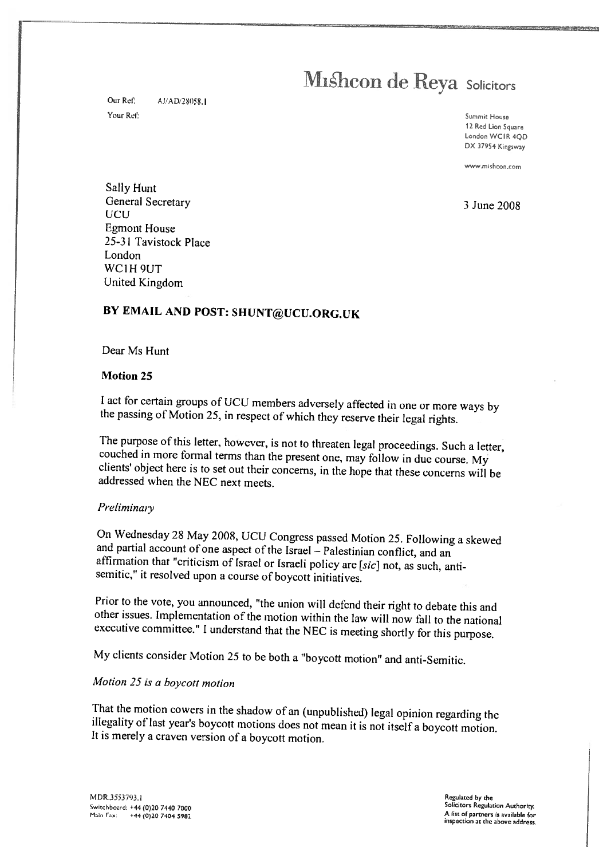Our Ref: **AJ/AD/28058.1** Your Ret: Summit House

<sup>12</sup> Red Lion Square London WCIR 400 DX <sup>37954</sup> Kingsway

www.mishcon.com

Sally Hunt General Secretary 3 June 2008 UCU Egmont House 25-31 Tavistock Place London WC1H<sub>9UT</sub> United Kingdom

## BY EMAIL AND POST: SHUNT@UCU.ORG.UK

Dear Ms Hunt

### Motion 25

<sup>I</sup> act for certain groups of UCU members adversely affected in one or more ways by the passing of Motion 25, in respect of which they reserve their legal rights.

The purpose of this letter, however, is not to threaten legal proceedings. Such a letter, couched in more formal terms than the present one, may follow in duc course. My clients' object here is to set out their concerns, i

### Preliminary

On Wednesday 28 May 2008, UCU Congress passed Motion 25. Following a skewed<br>and partial account of one aspect of the Israel – Palestinian conflict, and an<br>affirmation that "criticism of Israel or Israeli policy are [sic] n

Prior to the vote, you announced, "the union will defend their right to debate this and<br>other issues. Implementation of the motion within the law will now fall to the national<br>executive committee." I understand that the NE

My clients consider Motion <sup>25</sup> to be both <sup>a</sup> "boycott motion" and anti-Semitic.

## Motion <sup>25</sup> is <sup>a</sup> boycott motion

That the motion cowers in the shadow of an (unpublished) legal opinion regarding the illegality of last year's boycott motions does not mean it is not itself a boycott motion. It is merely a craven version of a boycott mot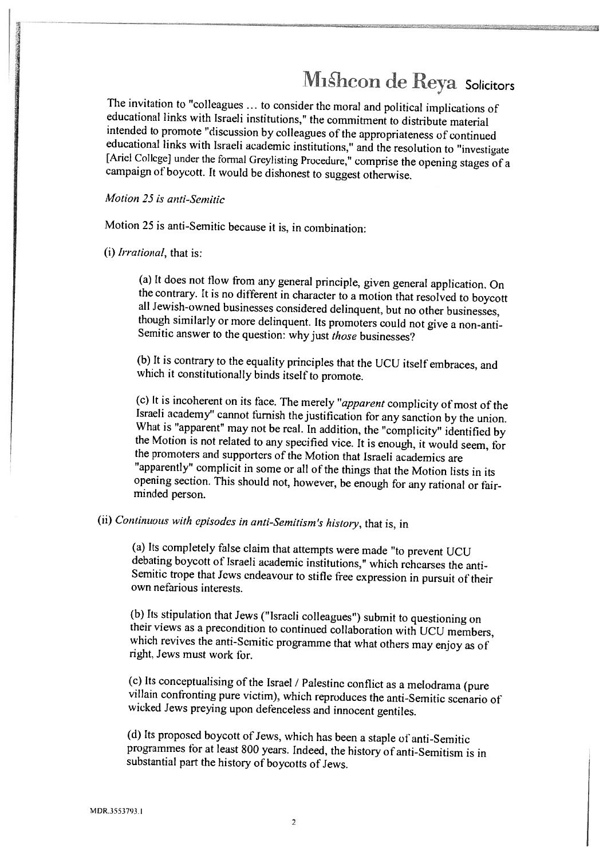The invitation to "colleagues ... to consider the moral and political implications of educational links with Israeli institutions," the commitment to distribute material intended to promote "discussion by colleagues of the

Motion 25 is anti-Semitic

Motion <sup>25</sup> is anti-Semitic because it is, in combination;

(i) Irrational, that is:

(a) It does not flow from any general principle, given general application. On the contrary. It is no different in character to a motion that resolved to boycott all Jewish-owned businesses considered delinquent, but no o

(b) It is contrary to the equality principles that the UCU itself embraces, and which it constitutionally binds itself to promote.

(c) It is incoherent on its face. The merely "apparent complicity of most of the Israeli academy" cannot furnish the justification for any sanction by the union. What is "apparent" may not be real. In addition, the "compli opening section. This should not, however, be enough for any rational or fair-<br>minded person.

(ii) continuous with episodes in anti-Semitism 's history, that is, in

(a) Its completely false claim that attempts were made "to prevent UCU<br>debating boycott of Israeli academic institutions," which rehearses the anti-<br>Semitic trope that Jews endeavour to stifle free expression in pursuit of own nefarious interests.

(b) Its stipulation that Jews ("Israeli colleagues") submit to questioning on their views as a precondition to continued collaboration with UCU members, which revives the anti-Semitic programme that what others may enjoy a

(c) its conceptualising of the Israel / Palestine conflict as <sup>a</sup> melodrama (pure villain confronting pure victim), which reproduces the anti-Semitic scenario of wicked Jews preying upon defenceless and innocent gentiles.

(d) Its proposed boycott of Jews, which has been a staple of anti-Semitic programmes for at least <sup>800</sup> years. Indeed, the history of anti-Semitism is in substantial part the history of boycotts of Jews.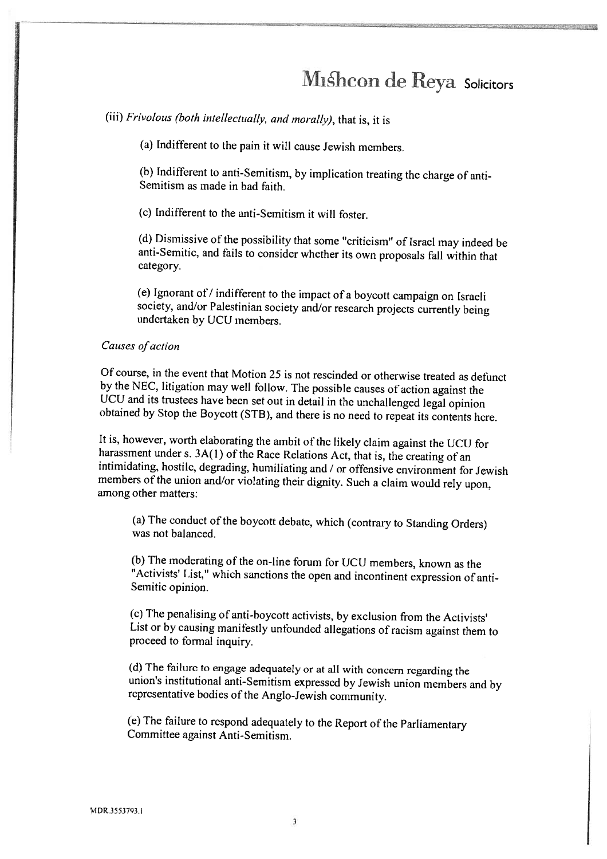(iii) Frivolous (both intellectually, and morally), that is, it is

(a) Indifferent to the pain it will cause Jewish members.

(b) Indifferent to anti-Semitism, by implication treating the charge of anti- Semitism as made in bad faith.

(c) Indifferent to the anti-Semitism it will foster.

(d) Dismissive of the possibility that some "criticism" of israel may indeed be anti-Semitic, and fails to consider whether its own proposals fall within that category.

(e) Ignorant of  $\prime$  indifferent to the impact of a boycott campaign on Israeli society, and/or Palestinian society and/or research projects currently being undertaken by UCU members.

#### Causes of action

Of course, in the event that Motion 25 is not rescinded or otherwise treated as defunct by the NEC, litigation may well follow. The possible causes of action against the UCU and its trustees have been set out in detail in the unchallenged legal opinion<br>obtained by Stop the Boycott (STB), and there is no need to repeat its contents here.

It is, however, worth elaborating the ambit of the likely claim against the UCU for harassment under s.  $3A(1)$  of the Race Relations Act, that is, the creating of an intimidating, hostile, degrading, humiliating and / or members of the union and/or violating their dignity. Such a claim would rely upon, among other matters:

(a) The conduct of the boycott debate, which (contrary to Standing Orders) was not balanced.

(b) The moderating of the on-line forum for UCU members, known as the "Activists' List," which sanctions the open and incontinent expression of anti- Semitic opinion.

(c) The penalising of anti-boycott activists, by exclusion from the Activists' List or by causing manifestly unfounded allegations of racism against them to proceed to formal inquiry.

(d) The failure to engage adequately or at all with concern regarding the union's institutional anti-Semitism expressed by Jewish union members and by representative bodies ofthe Anglo-Jewish community.

(e) The failure to respond adequately to the Report of the Parliamentary Committee against Anti-Semitism.